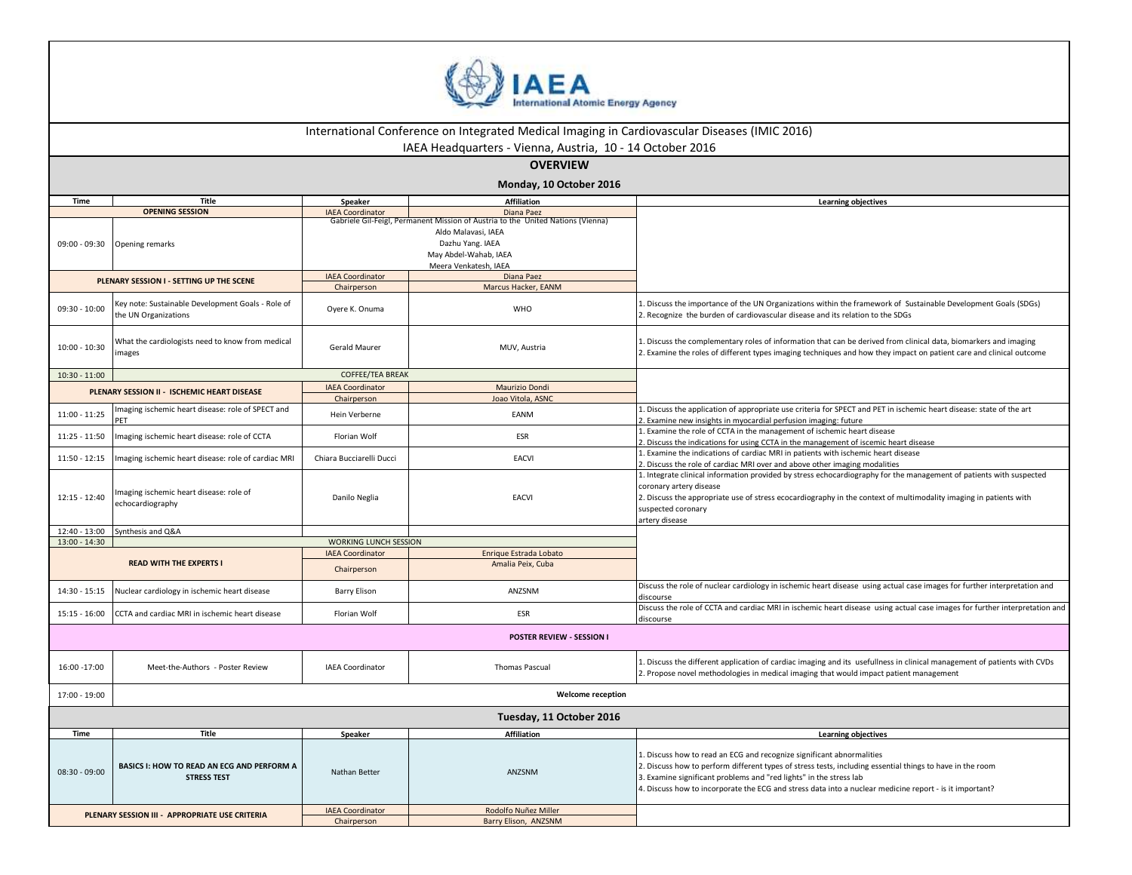

| International Conference on Integrated Medical Imaging in Cardiovascular Diseases (IMIC 2016) |                                                                           |                                    |                                                                                 |                                                                                                                                                                                                                                                                                                                                                                     |  |  |
|-----------------------------------------------------------------------------------------------|---------------------------------------------------------------------------|------------------------------------|---------------------------------------------------------------------------------|---------------------------------------------------------------------------------------------------------------------------------------------------------------------------------------------------------------------------------------------------------------------------------------------------------------------------------------------------------------------|--|--|
| IAEA Headquarters - Vienna, Austria, 10 - 14 October 2016<br><b>OVERVIEW</b>                  |                                                                           |                                    |                                                                                 |                                                                                                                                                                                                                                                                                                                                                                     |  |  |
|                                                                                               |                                                                           |                                    | Monday, 10 October 2016                                                         |                                                                                                                                                                                                                                                                                                                                                                     |  |  |
| <b>Time</b>                                                                                   | Title                                                                     |                                    | <b>Affiliation</b>                                                              |                                                                                                                                                                                                                                                                                                                                                                     |  |  |
|                                                                                               | <b>OPENING SESSION</b>                                                    | Speaker<br><b>IAEA Coordinator</b> | Diana Paez                                                                      | <b>Learning objectives</b>                                                                                                                                                                                                                                                                                                                                          |  |  |
|                                                                                               |                                                                           |                                    | Gabriele Gil-Feigl, Permanent Mission of Austria to the United Nations (Vienna) |                                                                                                                                                                                                                                                                                                                                                                     |  |  |
|                                                                                               |                                                                           |                                    | Aldo Malavasi, IAEA                                                             |                                                                                                                                                                                                                                                                                                                                                                     |  |  |
| $09:00 - 09:30$                                                                               | Opening remarks                                                           |                                    | Dazhu Yang. IAEA                                                                |                                                                                                                                                                                                                                                                                                                                                                     |  |  |
|                                                                                               |                                                                           |                                    | May Abdel-Wahab, IAEA                                                           |                                                                                                                                                                                                                                                                                                                                                                     |  |  |
|                                                                                               |                                                                           |                                    | Meera Venkatesh, IAEA                                                           |                                                                                                                                                                                                                                                                                                                                                                     |  |  |
|                                                                                               | PLENARY SESSION I - SETTING UP THE SCENE                                  | <b>IAEA Coordinator</b>            | Diana Paez                                                                      |                                                                                                                                                                                                                                                                                                                                                                     |  |  |
|                                                                                               |                                                                           | Chairperson                        | Marcus Hacker, EANM                                                             |                                                                                                                                                                                                                                                                                                                                                                     |  |  |
| $09:30 - 10:00$                                                                               | Key note: Sustainable Development Goals - Role of<br>the UN Organizations | Oyere K. Onuma                     | WHO                                                                             | 1. Discuss the importance of the UN Organizations within the framework of Sustainable Development Goals (SDGs)<br>2. Recognize the burden of cardiovascular disease and its relation to the SDGs                                                                                                                                                                    |  |  |
| $10:00 - 10:30$                                                                               | What the cardiologists need to know from medical<br>images                | <b>Gerald Maurer</b>               | MUV, Austria                                                                    | 1. Discuss the complementary roles of information that can be derived from clinical data, biomarkers and imaging<br>2. Examine the roles of different types imaging techniques and how they impact on patient care and clinical outcome                                                                                                                             |  |  |
| $10:30 - 11:00$                                                                               |                                                                           | <b>COFFEE/TEA BREAK</b>            |                                                                                 |                                                                                                                                                                                                                                                                                                                                                                     |  |  |
|                                                                                               |                                                                           | <b>IAEA Coordinator</b>            | Maurizio Dondi                                                                  |                                                                                                                                                                                                                                                                                                                                                                     |  |  |
|                                                                                               | PLENARY SESSION II - ISCHEMIC HEART DISEASE                               | Chairperson                        | Joao Vitola, ASNC                                                               |                                                                                                                                                                                                                                                                                                                                                                     |  |  |
| $11:00 - 11:25$                                                                               | maging ischemic heart disease: role of SPECT and                          | Hein Verberne                      | EANM                                                                            | 1. Discuss the application of appropriate use criteria for SPECT and PET in ischemic heart disease: state of the art<br>. Examine new insights in myocardial perfusion imaging: future                                                                                                                                                                              |  |  |
| $11:25 - 11:50$                                                                               | Imaging ischemic heart disease: role of CCTA                              | Florian Wolf                       | ESR                                                                             | 1. Examine the role of CCTA in the management of ischemic heart disease<br>. Discuss the indications for using CCTA in the management of iscemic heart disease                                                                                                                                                                                                      |  |  |
| $11:50 - 12:15$                                                                               | Imaging ischemic heart disease: role of cardiac MRI                       | Chiara Bucciarelli Ducci           | <b>EACVI</b>                                                                    | 1. Examine the indications of cardiac MRI in patients with ischemic heart disease<br>2. Discuss the role of cardiac MRI over and above other imaging modalities                                                                                                                                                                                                     |  |  |
| $12:15 - 12:40$                                                                               | Imaging ischemic heart disease: role of<br>echocardiography               | Danilo Neglia                      | <b>EACVI</b>                                                                    | 1. Integrate clinical information provided by stress echocardiography for the management of patients with suspected<br>coronary artery disease<br>2. Discuss the appropriate use of stress ecocardiography in the context of multimodality imaging in patients with<br>suspected coronary<br>artery disease                                                         |  |  |
| $12:40 - 13:00$                                                                               | Synthesis and Q&A                                                         |                                    |                                                                                 |                                                                                                                                                                                                                                                                                                                                                                     |  |  |
| $13:00 - 14:30$                                                                               |                                                                           | WORKING LUNCH SESSION              |                                                                                 |                                                                                                                                                                                                                                                                                                                                                                     |  |  |
|                                                                                               |                                                                           | <b>IAEA Coordinator</b>            | Enrique Estrada Lobato                                                          |                                                                                                                                                                                                                                                                                                                                                                     |  |  |
|                                                                                               | <b>READ WITH THE EXPERTS I</b>                                            | Chairperson                        | Amalia Peix, Cuba                                                               |                                                                                                                                                                                                                                                                                                                                                                     |  |  |
| $14:30 - 15:15$                                                                               | Nuclear cardiology in ischemic heart disease                              | <b>Barry Elison</b>                | ANZSNM                                                                          | Discuss the role of nuclear cardiology in ischemic heart disease using actual case images for further interpretation and<br>discourse                                                                                                                                                                                                                               |  |  |
| $15:15 - 16:00$                                                                               | CCTA and cardiac MRI in ischemic heart disease                            | Florian Wolf                       | <b>ESR</b>                                                                      | Discuss the role of CCTA and cardiac MRI in ischemic heart disease using actual case images for further interpretation and<br>discourse                                                                                                                                                                                                                             |  |  |
|                                                                                               |                                                                           |                                    | POSTER REVIEW - SESSION I                                                       |                                                                                                                                                                                                                                                                                                                                                                     |  |  |
| 16:00 -17:00                                                                                  | Meet-the-Authors - Poster Review                                          | <b>IAEA Coordinator</b>            | Thomas Pascual                                                                  | 1. Discuss the different application of cardiac imaging and its usefullness in clinical management of patients with CVDs<br>2. Propose novel methodologies in medical imaging that would impact patient management                                                                                                                                                  |  |  |
| 17:00 - 19:00                                                                                 | <b>Welcome reception</b>                                                  |                                    |                                                                                 |                                                                                                                                                                                                                                                                                                                                                                     |  |  |
|                                                                                               |                                                                           |                                    | Tuesday, 11 October 2016                                                        |                                                                                                                                                                                                                                                                                                                                                                     |  |  |
| Time                                                                                          | Title                                                                     | Speaker                            | <b>Affiliation</b>                                                              | <b>Learning objectives</b>                                                                                                                                                                                                                                                                                                                                          |  |  |
| $08:30 - 09:00$                                                                               | BASICS I: HOW TO READ AN ECG AND PERFORM A<br><b>STRESS TEST</b>          | Nathan Better                      | ANZSNM                                                                          | 1. Discuss how to read an ECG and recognize significant abnormalities<br>2. Discuss how to perform different types of stress tests, including essential things to have in the room<br>3. Examine significant problems and "red lights" in the stress lab<br>4. Discuss how to incorporate the ECG and stress data into a nuclear medicine report - is it important? |  |  |
|                                                                                               |                                                                           | <b>IAEA Coordinator</b>            | Rodolfo Nuñez Miller                                                            |                                                                                                                                                                                                                                                                                                                                                                     |  |  |
| PLENARY SESSION III - APPROPRIATE USE CRITERIA                                                |                                                                           | Chairperson                        | Barry Elison, ANZSNM                                                            |                                                                                                                                                                                                                                                                                                                                                                     |  |  |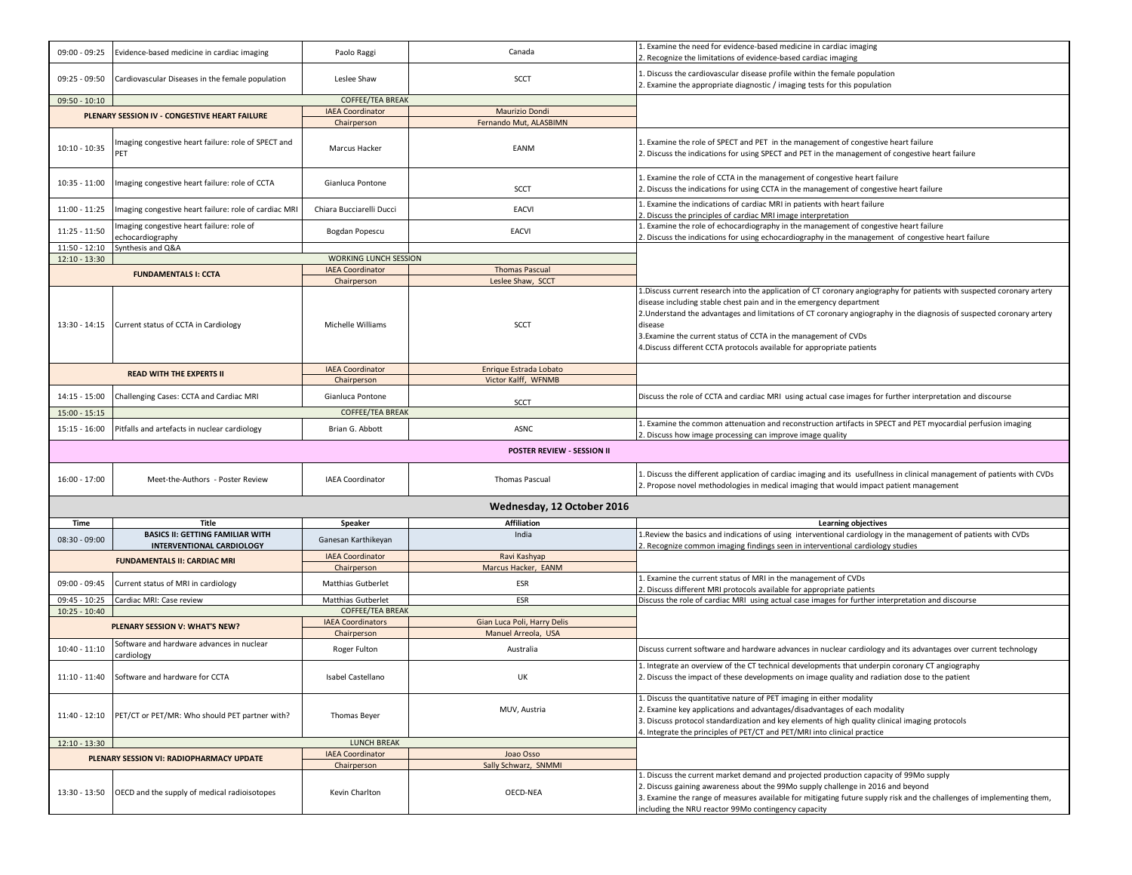| $09:00 - 09:25$ | Evidence-based medicine in cardiac imaging                                  | Paolo Raggi                            | Canada                                        | . Examine the need for evidence-based medicine in cardiac imaging<br>. Recognize the limitations of evidence-based cardiac imaging                                                                                                                                                                                                                                                                                                                                              |
|-----------------|-----------------------------------------------------------------------------|----------------------------------------|-----------------------------------------------|---------------------------------------------------------------------------------------------------------------------------------------------------------------------------------------------------------------------------------------------------------------------------------------------------------------------------------------------------------------------------------------------------------------------------------------------------------------------------------|
| $09:25 - 09:50$ | Cardiovascular Diseases in the female population                            | Leslee Shaw                            | <b>SCCT</b>                                   | Discuss the cardiovascular disease profile within the female population<br>. Examine the appropriate diagnostic / imaging tests for this population                                                                                                                                                                                                                                                                                                                             |
| $09:50 - 10:10$ |                                                                             | COFFEE/TEA BREAK                       |                                               |                                                                                                                                                                                                                                                                                                                                                                                                                                                                                 |
|                 |                                                                             | <b>IAEA Coordinator</b>                | Maurizio Dondi                                |                                                                                                                                                                                                                                                                                                                                                                                                                                                                                 |
|                 | PLENARY SESSION IV - CONGESTIVE HEART FAILURE                               | Chairperson                            | Fernando Mut. ALASBIMN                        |                                                                                                                                                                                                                                                                                                                                                                                                                                                                                 |
| $10:10 - 10:35$ | Imaging congestive heart failure: role of SPECT and<br>PET                  | Marcus Hacker                          | EANM                                          | . Examine the role of SPECT and PET in the management of congestive heart failure<br>Discuss the indications for using SPECT and PET in the management of congestive heart failure                                                                                                                                                                                                                                                                                              |
| $10:35 - 11:00$ | Imaging congestive heart failure: role of CCTA                              | Gianluca Pontone                       | <b>SCCT</b>                                   | . Examine the role of CCTA in the management of congestive heart failure<br>. Discuss the indications for using CCTA in the management of congestive heart failure                                                                                                                                                                                                                                                                                                              |
| $11:00 - 11:25$ | Imaging congestive heart failure: role of cardiac MRI                       | Chiara Bucciarelli Ducci               | <b>EACVI</b>                                  | L. Examine the indications of cardiac MRI in patients with heart failure<br>Discuss the principles of cardiac MRI image interpretation                                                                                                                                                                                                                                                                                                                                          |
| $11:25 - 11:50$ | Imaging congestive heart failure: role of<br>echocardiography               | Bogdan Popescu                         | EACVI                                         | Examine the role of echocardiography in the management of congestive heart failure<br>. Discuss the indications for using echocardiography in the management of congestive heart failure                                                                                                                                                                                                                                                                                        |
| $11:50 - 12:10$ | Synthesis and Q&A                                                           |                                        |                                               |                                                                                                                                                                                                                                                                                                                                                                                                                                                                                 |
| $12:10 - 13:30$ |                                                                             | <b>WORKING LUNCH SESSION</b>           |                                               |                                                                                                                                                                                                                                                                                                                                                                                                                                                                                 |
|                 | <b>FUNDAMENTALS I: CCTA</b>                                                 | <b>IAEA Coordinator</b>                | <b>Thomas Pascual</b>                         |                                                                                                                                                                                                                                                                                                                                                                                                                                                                                 |
|                 |                                                                             | Chairperson                            | Leslee Shaw, SCCT                             |                                                                                                                                                                                                                                                                                                                                                                                                                                                                                 |
| 13:30 - 14:15   | Current status of CCTA in Cardiology                                        | Michelle Williams                      | SCCT                                          | 1. Discuss current research into the application of CT coronary angiography for patients with suspected coronary artery<br>disease including stable chest pain and in the emergency department<br>2. Understand the advantages and limitations of CT coronary angiography in the diagnosis of suspected coronary artery<br>disease<br>3. Examine the current status of CCTA in the management of CVDs<br>4. Discuss different CCTA protocols available for appropriate patients |
|                 | <b>READ WITH THE EXPERTS II</b>                                             | <b>IAEA Coordinator</b><br>Chairperson | Enrique Estrada Lobato<br>Victor Kalff, WFNMB |                                                                                                                                                                                                                                                                                                                                                                                                                                                                                 |
| $14:15 - 15:00$ | Challenging Cases: CCTA and Cardiac MRI                                     | Gianluca Pontone                       | SCCT                                          | Discuss the role of CCTA and cardiac MRI using actual case images for further interpretation and discourse                                                                                                                                                                                                                                                                                                                                                                      |
| $15:00 - 15:15$ |                                                                             | <b>COFFEE/TEA BREAK</b>                |                                               |                                                                                                                                                                                                                                                                                                                                                                                                                                                                                 |
| $15:15 - 16:00$ | Pitfalls and artefacts in nuclear cardiology                                | Brian G. Abbott                        | <b>ASNC</b>                                   | . Examine the common attenuation and reconstruction artifacts in SPECT and PET myocardial perfusion imaging<br>Discuss how image processing can improve image quality                                                                                                                                                                                                                                                                                                           |
|                 |                                                                             |                                        |                                               |                                                                                                                                                                                                                                                                                                                                                                                                                                                                                 |
| $16:00 - 17:00$ | Meet-the-Authors - Poster Review                                            | <b>IAEA Coordinator</b>                | <b>Thomas Pascual</b>                         | . Discuss the different application of cardiac imaging and its usefullness in clinical management of patients with CVDs<br>. Propose novel methodologies in medical imaging that would impact patient management                                                                                                                                                                                                                                                                |
|                 |                                                                             |                                        | Wednesday, 12 October 2016                    |                                                                                                                                                                                                                                                                                                                                                                                                                                                                                 |
| Time            | Title                                                                       | Speaker                                | <b>Affiliation</b>                            | Learning objectives                                                                                                                                                                                                                                                                                                                                                                                                                                                             |
| $08:30 - 09:00$ | <b>BASICS II: GETTING FAMILIAR WITH</b><br><b>INTERVENTIONAL CARDIOLOGY</b> | Ganesan Karthikeyan                    | India                                         | L.Review the basics and indications of using interventional cardiology in the management of patients with CVDs<br>. Recognize common imaging findings seen in interventional cardiology studies                                                                                                                                                                                                                                                                                 |
|                 | <b>FUNDAMENTALS II: CARDIAC MRI</b>                                         | <b>IAEA Coordinator</b>                | Ravi Kashyap                                  |                                                                                                                                                                                                                                                                                                                                                                                                                                                                                 |
|                 |                                                                             | Chairperson                            | Marcus Hacker, EANM                           |                                                                                                                                                                                                                                                                                                                                                                                                                                                                                 |
| 09:00 - 09:45   | Current status of MRI in cardiology                                         | <b>Matthias Gutberlet</b>              | ESR                                           | Examine the current status of MRI in the management of CVDs<br>Discuss different MRI protocols available for appropriate patients                                                                                                                                                                                                                                                                                                                                               |
| 09:45 - 10:25   | Cardiac MRI: Case review                                                    | <b>Matthias Gutberlet</b>              | ESR                                           | Discuss the role of cardiac MRI using actual case images for further interpretation and discourse                                                                                                                                                                                                                                                                                                                                                                               |
| $10:25 - 10:40$ |                                                                             | COFFEE/TEA BREAK                       |                                               |                                                                                                                                                                                                                                                                                                                                                                                                                                                                                 |
|                 |                                                                             |                                        |                                               |                                                                                                                                                                                                                                                                                                                                                                                                                                                                                 |
|                 | PLENARY SESSION V: WHAT'S NEW?                                              | <b>IAEA Coordinators</b>               | Gian Luca Poli, Harry Delis                   |                                                                                                                                                                                                                                                                                                                                                                                                                                                                                 |
| $10:40 - 11:10$ | Software and hardware advances in nuclear                                   | Chairperson<br>Roger Fulton            | Manuel Arreola, USA<br>Australia              | Discuss current software and hardware advances in nuclear cardiology and its advantages over current technology                                                                                                                                                                                                                                                                                                                                                                 |
| 11:10 - 11:40   | cardiology<br>Software and hardware for CCTA                                | Isabel Castellano                      | UK                                            | 1. Integrate an overview of the CT technical developments that underpin coronary CT angiography<br>. Discuss the impact of these developments on image quality and radiation dose to the patient                                                                                                                                                                                                                                                                                |
| 11:40 - 12:10   | PET/CT or PET/MR: Who should PET partner with?                              | Thomas Beyer                           | MUV, Austria                                  | Discuss the quantitative nature of PET imaging in either modality<br>. Examine key applications and advantages/disadvantages of each modality<br>3. Discuss protocol standardization and key elements of high quality clinical imaging protocols<br>1. Integrate the principles of PET/CT and PET/MRI into clinical practice                                                                                                                                                    |
| $12:10 - 13:30$ |                                                                             | <b>LUNCH BREAK</b>                     |                                               |                                                                                                                                                                                                                                                                                                                                                                                                                                                                                 |
|                 | PLENARY SESSION VI: RADIOPHARMACY UPDATE                                    | <b>IAEA Coordinator</b>                | Joao Osso                                     |                                                                                                                                                                                                                                                                                                                                                                                                                                                                                 |
| 13:30 - 13:50   | OECD and the supply of medical radioisotopes                                | Chairperson<br>Kevin Charlton          | Sally Schwarz, SNMMI<br>OECD-NEA              | Discuss the current market demand and projected production capacity of 99Mo supply<br>Discuss gaining awareness about the 99Mo supply challenge in 2016 and beyond<br>3. Examine the range of measures available for mitigating future supply risk and the challenges of implementing them,<br>ncluding the NRU reactor 99Mo contingency capacity                                                                                                                               |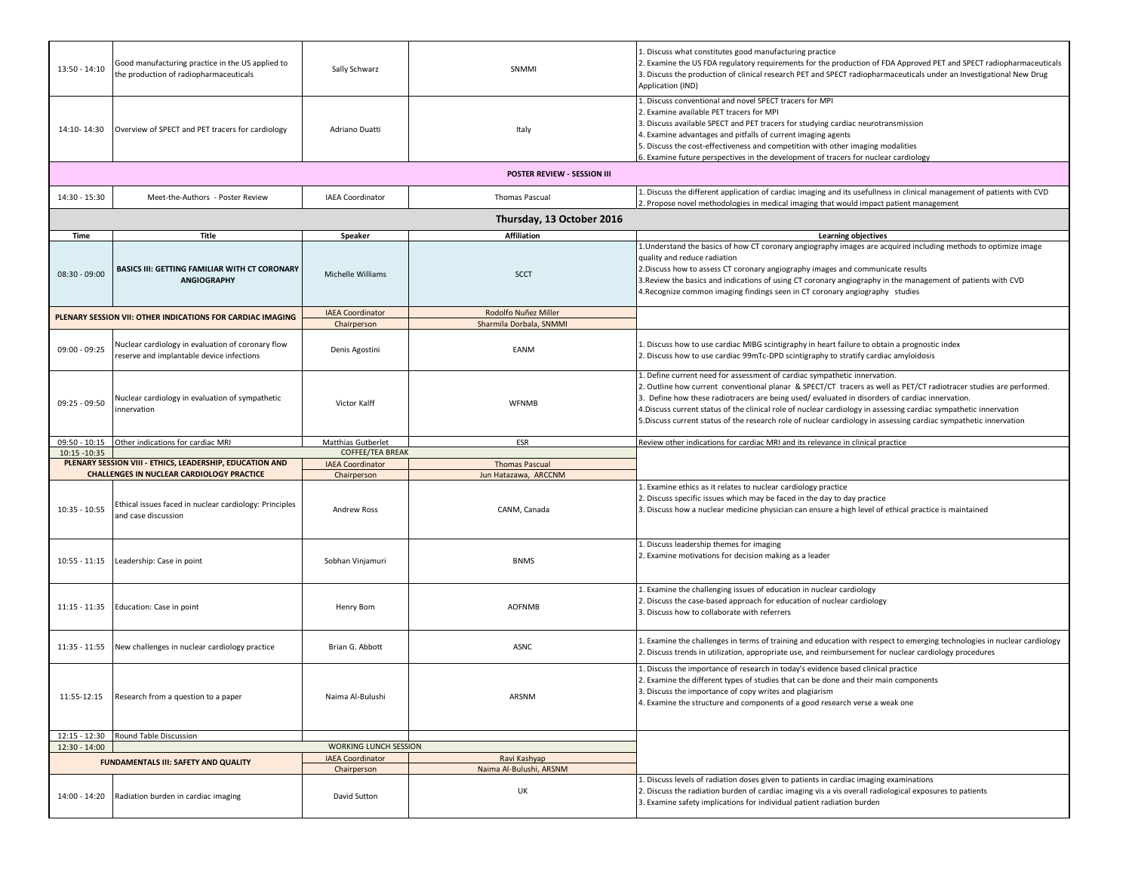| 13:50 - 14:10   | Good manufacturing practice in the US applied to<br>the production of radiopharmaceuticals                                        | Sally Schwarz                          | SNMMI                                   | 1. Discuss what constitutes good manufacturing practice<br>2. Examine the US FDA regulatory requirements for the production of FDA Approved PET and SPECT radiopharmaceuticals<br>3. Discuss the production of clinical research PET and SPECT radiopharmaceuticals under an Investigational New Drug<br>Application (IND)                                                                                                                                                                                                                  |  |  |  |
|-----------------|-----------------------------------------------------------------------------------------------------------------------------------|----------------------------------------|-----------------------------------------|---------------------------------------------------------------------------------------------------------------------------------------------------------------------------------------------------------------------------------------------------------------------------------------------------------------------------------------------------------------------------------------------------------------------------------------------------------------------------------------------------------------------------------------------|--|--|--|
| 14:10-14:30     | Overview of SPECT and PET tracers for cardiology                                                                                  | Adriano Duatti                         | Italy                                   | 1. Discuss conventional and novel SPECT tracers for MPI<br>2. Examine available PET tracers for MPI<br>3. Discuss available SPECT and PET tracers for studying cardiac neurotransmission<br>4. Examine advantages and pitfalls of current imaging agents<br>5. Discuss the cost-effectiveness and competition with other imaging modalities<br>6. Examine future perspectives in the development of tracers for nuclear cardiology                                                                                                          |  |  |  |
|                 | POSTER REVIEW - SESSION III                                                                                                       |                                        |                                         |                                                                                                                                                                                                                                                                                                                                                                                                                                                                                                                                             |  |  |  |
| 14:30 - 15:30   | Meet-the-Authors - Poster Review                                                                                                  | <b>IAEA Coordinator</b>                | Thomas Pascual                          | 1. Discuss the different application of cardiac imaging and its usefullness in clinical management of patients with CVD<br>2. Propose novel methodologies in medical imaging that would impact patient management                                                                                                                                                                                                                                                                                                                           |  |  |  |
|                 |                                                                                                                                   |                                        | Thursday, 13 October 2016               |                                                                                                                                                                                                                                                                                                                                                                                                                                                                                                                                             |  |  |  |
| Time            | Title                                                                                                                             | Speaker                                | <b>Affiliation</b>                      | Learning objectives                                                                                                                                                                                                                                                                                                                                                                                                                                                                                                                         |  |  |  |
| $08:30 - 09:00$ | <b>BASICS III: GETTING FAMILIAR WITH CT CORONARY</b><br><b>ANGIOGRAPHY</b>                                                        | Michelle Williams                      | <b>SCCT</b>                             | 1. Understand the basics of how CT coronary angiography images are acquired including methods to optimize image<br>quality and reduce radiation<br>2. Discuss how to assess CT coronary angiography images and communicate results<br>3. Review the basics and indications of using CT coronary angiography in the management of patients with CVD<br>4. Recognize common imaging findings seen in CT coronary angiography studies                                                                                                          |  |  |  |
|                 | PLENARY SESSION VII: OTHER INDICATIONS FOR CARDIAC IMAGING                                                                        | <b>IAEA Coordinator</b>                | Rodolfo Nuñez Miller                    |                                                                                                                                                                                                                                                                                                                                                                                                                                                                                                                                             |  |  |  |
|                 |                                                                                                                                   | Chairperson                            | Sharmila Dorbala, SNMMI                 |                                                                                                                                                                                                                                                                                                                                                                                                                                                                                                                                             |  |  |  |
| $09:00 - 09:25$ | Nuclear cardiology in evaluation of coronary flow<br>eserve and implantable device infections                                     | Denis Agostini                         | EANM                                    | 1. Discuss how to use cardiac MIBG scintigraphy in heart failure to obtain a prognostic index<br>2. Discuss how to use cardiac 99mTc-DPD scintigraphy to stratify cardiac amyloidosis                                                                                                                                                                                                                                                                                                                                                       |  |  |  |
| 09:25 - 09:50   | Nuclear cardiology in evaluation of sympathetic<br>nnervation                                                                     | Victor Kalff                           | <b>WFNMB</b>                            | 1. Define current need for assessment of cardiac sympathetic innervation.<br>2. Outline how current conventional planar & SPECT/CT tracers as well as PET/CT radiotracer studies are performed.<br>3. Define how these radiotracers are being used/evaluated in disorders of cardiac innervation.<br>4. Discuss current status of the clinical role of nuclear cardiology in assessing cardiac sympathetic innervation<br>5. Discuss current status of the research role of nuclear cardiology in assessing cardiac sympathetic innervation |  |  |  |
| 09:50 - 10:15   | Other indications for cardiac MRI                                                                                                 | Matthias Gutberlet                     | ESR                                     | Review other indications for cardiac MRI and its relevance in clinical practice                                                                                                                                                                                                                                                                                                                                                                                                                                                             |  |  |  |
| 10:15 - 10:35   |                                                                                                                                   |                                        |                                         |                                                                                                                                                                                                                                                                                                                                                                                                                                                                                                                                             |  |  |  |
|                 |                                                                                                                                   | COFFEE/TEA BREAK                       |                                         |                                                                                                                                                                                                                                                                                                                                                                                                                                                                                                                                             |  |  |  |
|                 | PLENARY SESSION VIII - ETHICS, LEADERSHIP, EDUCATION AND                                                                          | <b>IAEA Coordinator</b>                | <b>Thomas Pascual</b>                   |                                                                                                                                                                                                                                                                                                                                                                                                                                                                                                                                             |  |  |  |
| $10:35 - 10:55$ | <b>CHALLENGES IN NUCLEAR CARDIOLOGY PRACTICE</b><br>Ethical issues faced in nuclear cardiology: Principles<br>and case discussion | Chairperson<br><b>Andrew Ross</b>      | Jun Hatazawa, ARCCNM<br>CANM, Canada    | L. Examine ethics as it relates to nuclear cardiology practice<br>2. Discuss specific issues which may be faced in the day to day practice<br>3. Discuss how a nuclear medicine physician can ensure a high level of ethical practice is maintained                                                                                                                                                                                                                                                                                         |  |  |  |
| $10:55 - 11:15$ | Leadership: Case in point                                                                                                         | Sobhan Vinjamuri                       | <b>BNMS</b>                             | 1. Discuss leadership themes for imaging<br>2. Examine motivations for decision making as a leader                                                                                                                                                                                                                                                                                                                                                                                                                                          |  |  |  |
| $11:15 - 11:35$ | Education: Case in point                                                                                                          | Henry Bom                              | <b>AOFNMB</b>                           | 1. Examine the challenging issues of education in nuclear cardiology<br>2. Discuss the case-based approach for education of nuclear cardiology<br>3. Discuss how to collaborate with referrers                                                                                                                                                                                                                                                                                                                                              |  |  |  |
| 11:35 - 11:55   | New challenges in nuclear cardiology practice                                                                                     | Brian G. Abbott                        | <b>ASNC</b>                             | 1. Examine the challenges in terms of training and education with respect to emerging technologies in nuclear cardiology<br>2. Discuss trends in utilization, appropriate use, and reimbursement for nuclear cardiology procedures                                                                                                                                                                                                                                                                                                          |  |  |  |
| 11:55-12:15     | Research from a question to a paper                                                                                               | Naima Al-Bulushi                       | ARSNM                                   | 1. Discuss the importance of research in today's evidence based clinical practice<br>2. Examine the different types of studies that can be done and their main components<br>3. Discuss the importance of copy writes and plagiarism<br>4. Examine the structure and components of a good research verse a weak one                                                                                                                                                                                                                         |  |  |  |
| $12:15 - 12:30$ | Round Table Discussion                                                                                                            |                                        |                                         |                                                                                                                                                                                                                                                                                                                                                                                                                                                                                                                                             |  |  |  |
| $12:30 - 14:00$ |                                                                                                                                   | WORKING LUNCH SESSION                  |                                         |                                                                                                                                                                                                                                                                                                                                                                                                                                                                                                                                             |  |  |  |
|                 | <b>FUNDAMENTALS III: SAFETY AND QUALITY</b>                                                                                       | <b>IAEA Coordinator</b><br>Chairperson | Ravi Kashyap<br>Naima Al-Bulushi, ARSNM |                                                                                                                                                                                                                                                                                                                                                                                                                                                                                                                                             |  |  |  |